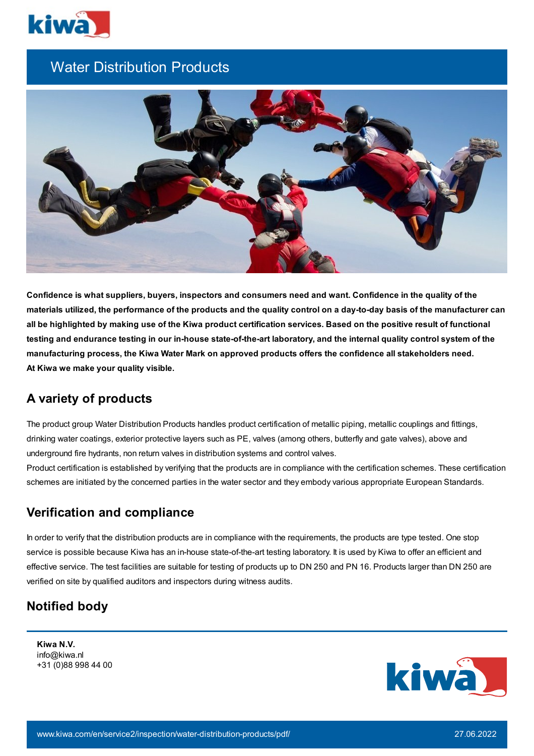

# Water Distribution Products



Confidence is what suppliers, buyers, inspectors and consumers need and want. Confidence in the quality of the materials utilized, the performance of the products and the quality control on a day-to-day basis of the manufacturer can all be highlighted by making use of the Kiwa product certification services. Based on the positive result of functional testing and endurance testing in our in-house state-of-the-art laboratory, and the internal quality control system of the **manufacturing process, the Kiwa Water Mark on approved products offers the confidence all stakeholders need. At Kiwa we make your quality visible.**

### **A variety of products**

The product group Water Distribution Products handles product certification of metallic piping, metallic couplings and fittings, drinking water coatings, exterior protective layers such as PE, valves (among others, butterfly and gate valves), above and underground fire hydrants, non return valves in distribution systems and control valves.

Product certification is established by verifying that the products are in compliance with the certification schemes. These certification schemes are initiated by the concerned parties in the water sector and they embody various appropriate European Standards.

## **Verification and compliance**

In order to verify that the distribution products are in compliance with the requirements, the products are type tested. One stop service is possible because Kiwa has an in-house state-of-the-art testing laboratory. It is used by Kiwa to offer an efficient and effective service. The test facilities are suitable for testing of products up to DN 250 and PN 16. Products larger than DN 250 are verified on site by qualified auditors and inspectors during witness audits.

### **Notified body**

**Kiwa N.V.** info@kiwa.nl +31 (0)88 998 44 00